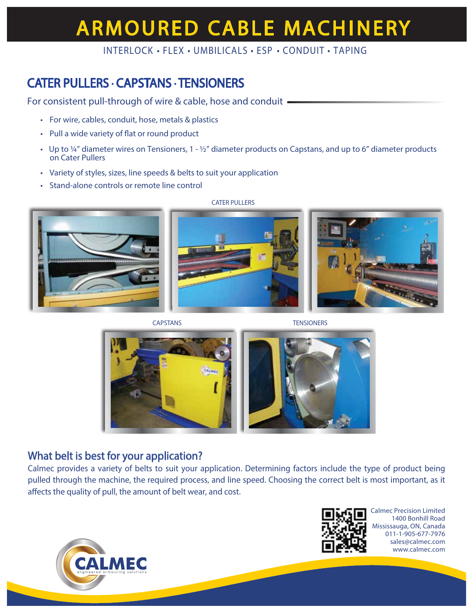# **ARMOURED CABLE MACHINERY**

### INTERLOCK • FLEX • UMBILICALS • ESP • CONDUIT • TAPING

## CATER PULLERS • CAPSTANS • TENSIONERS

For consistent pull-through of wire & cable, hose and conduit -

- For wire, cables, conduit, hose, metals & plastics
- Pull a wide variety of flat or round product
- Up to  $\frac{1}{4}$ " diameter wires on Tensioners, 1  $\frac{1}{2}$ " diameter products on Capstans, and up to 6" diameter products on Cater Pullers
- Variety of styles, sizes, line speeds & belts to suit your application
- Stand-alone controls or remote line control



CATER PULLERS





CAPSTANS TENSIONERS



### What belt is best for your application?

Calmec provides a variety of belts to suit your application. Determining factors include the type of product being pulled through the machine, the required process, and line speed. Choosing the correct belt is most important, as it affects the quality of pull, the amount of belt wear, and cost.



Calmec Precision Limited 1400 Bonhill Road Mississauga, ON, Canada 011-1-905-677-7976 sales@calmec.com www.calmec.com